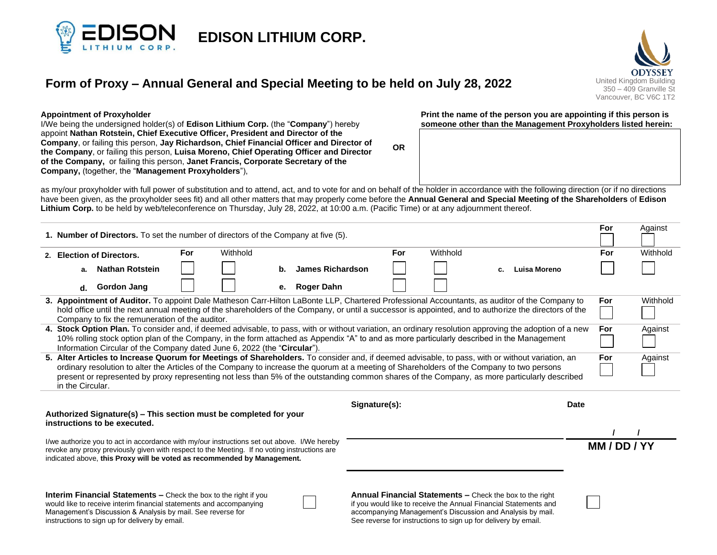

# **Form of Proxy – Annual General and Special Meeting to be held on July 28, 2022** United Kingdom Building



#### **Appointment of Proxyholder**

I/We being the undersigned holder(s) of **Edison Lithium Corp.** (the "**Company**") hereby appoint **Nathan Rotstein, Chief Executive Officer, President and Director of the Company**, or failing this person, **Jay Richardson, Chief Financial Officer and Director of the Company**, or failing this person, **Luisa Moreno, Chief Operating Officer and Director of the Company,** or failing this person, **Janet Francis, Corporate Secretary of the Company,** (together, the "**Management Proxyholders**"),

**Print the name of the person you are appointing if this person is someone other than the Management Proxyholders listed herein:**

**OR**

as my/our proxyholder with full power of substitution and to attend, act, and to vote for and on behalf of the holder in accordance with the following direction (or if no directions have been given, as the proxyholder sees fit) and all other matters that may properly come before the **Annual General and Special Meeting of the Shareholders** of **Edison Lithium Corp.** to be held by web/teleconference on Thursday, July 28, 2022, at 10:00 a.m. (Pacific Time) or at any adjournment thereof.

| 1. Number of Directors. To set the number of directors of the Company at five (5).                                                                                                                                                                                                                                                                                                      |                                                                                                                                                                                                                                                                                                                                                                                                                                                                                      |     |          |    |                         |  |     |                                                                                                                                                                                                                                                                     |    |              | For | Against |          |
|-----------------------------------------------------------------------------------------------------------------------------------------------------------------------------------------------------------------------------------------------------------------------------------------------------------------------------------------------------------------------------------------|--------------------------------------------------------------------------------------------------------------------------------------------------------------------------------------------------------------------------------------------------------------------------------------------------------------------------------------------------------------------------------------------------------------------------------------------------------------------------------------|-----|----------|----|-------------------------|--|-----|---------------------------------------------------------------------------------------------------------------------------------------------------------------------------------------------------------------------------------------------------------------------|----|--------------|-----|---------|----------|
|                                                                                                                                                                                                                                                                                                                                                                                         | 2. Election of Directors.                                                                                                                                                                                                                                                                                                                                                                                                                                                            | For | Withhold |    |                         |  | For | Withhold                                                                                                                                                                                                                                                            |    |              |     | For     | Withhold |
|                                                                                                                                                                                                                                                                                                                                                                                         | <b>Nathan Rotstein</b><br>а.                                                                                                                                                                                                                                                                                                                                                                                                                                                         |     |          | b. | <b>James Richardson</b> |  |     |                                                                                                                                                                                                                                                                     | c. | Luisa Moreno |     |         |          |
|                                                                                                                                                                                                                                                                                                                                                                                         | <b>Gordon Jang</b><br>d.                                                                                                                                                                                                                                                                                                                                                                                                                                                             |     |          |    | e. Roger Dahn           |  |     |                                                                                                                                                                                                                                                                     |    |              |     |         |          |
|                                                                                                                                                                                                                                                                                                                                                                                         | Withhold<br>3. Appointment of Auditor. To appoint Dale Matheson Carr-Hilton LaBonte LLP, Chartered Professional Accountants, as auditor of the Company to<br>For<br>hold office until the next annual meeting of the shareholders of the Company, or until a successor is appointed, and to authorize the directors of the<br>Company to fix the remuneration of the auditor.                                                                                                        |     |          |    |                         |  |     |                                                                                                                                                                                                                                                                     |    |              |     |         |          |
| 4. Stock Option Plan. To consider and, if deemed advisable, to pass, with or without variation, an ordinary resolution approving the adoption of a new<br>For<br>10% rolling stock option plan of the Company, in the form attached as Appendix "A" to and as more particularly described in the Management<br>Information Circular of the Company dated June 6, 2022 (the "Circular"). |                                                                                                                                                                                                                                                                                                                                                                                                                                                                                      |     |          |    |                         |  |     |                                                                                                                                                                                                                                                                     |    |              |     |         | Against  |
|                                                                                                                                                                                                                                                                                                                                                                                         | 5. Alter Articles to Increase Quorum for Meetings of Shareholders. To consider and, if deemed advisable, to pass, with or without variation, an<br>For<br>Against<br>ordinary resolution to alter the Articles of the Company to increase the quorum at a meeting of Shareholders of the Company to two persons<br>present or represented by proxy representing not less than 5% of the outstanding common shares of the Company, as more particularly described<br>in the Circular. |     |          |    |                         |  |     |                                                                                                                                                                                                                                                                     |    |              |     |         |          |
| <b>Date</b><br>Signature(s):<br>Authorized Signature(s) – This section must be completed for your<br>instructions to be executed.                                                                                                                                                                                                                                                       |                                                                                                                                                                                                                                                                                                                                                                                                                                                                                      |     |          |    |                         |  |     |                                                                                                                                                                                                                                                                     |    |              |     |         |          |
| I/we authorize you to act in accordance with my/our instructions set out above. I/We hereby<br>revoke any proxy previously given with respect to the Meeting. If no voting instructions are<br>indicated above, this Proxy will be voted as recommended by Management.                                                                                                                  |                                                                                                                                                                                                                                                                                                                                                                                                                                                                                      |     |          |    |                         |  |     |                                                                                                                                                                                                                                                                     |    | MM / DD / YY |     |         |          |
|                                                                                                                                                                                                                                                                                                                                                                                         | <b>Interim Financial Statements –</b> Check the box to the right if you<br>would like to receive interim financial statements and accompanying<br>Management's Discussion & Analysis by mail. See reverse for<br>instructions to sign up for delivery by email.                                                                                                                                                                                                                      |     |          |    |                         |  |     | <b>Annual Financial Statements –</b> Check the box to the right<br>if you would like to receive the Annual Financial Statements and<br>accompanying Management's Discussion and Analysis by mail.<br>See reverse for instructions to sign up for delivery by email. |    |              |     |         |          |